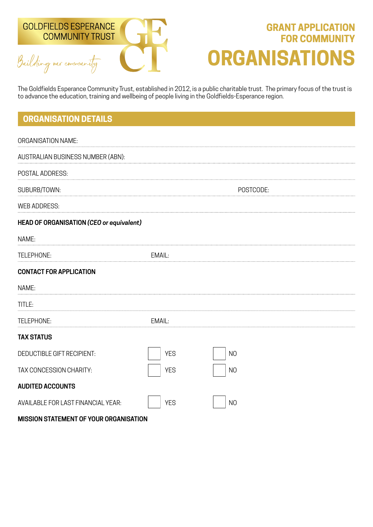

# **GRANT APPLICATION FOR COMMUNITY ORGANISATIONS**

The Goldfields Esperance Community Trust, established in 2012, is a public charitable trust. The primary focus of the trust is to advance the education, training and wellbeing of people living in the Goldfields-Esperance region.

## **ORGANISATION DETAILS**

| <b>ORGANISATION NAME:</b>                       |            |                |
|-------------------------------------------------|------------|----------------|
| AUSTRALIAN BUSINESS NUMBER (ABN):               |            |                |
| POSTAL ADDRESS:                                 |            |                |
| SUBURB/TOWN:                                    |            | POSTCODE:      |
| <b>WEB ADDRESS:</b>                             |            |                |
| <b>HEAD OF ORGANISATION (CEO or equivalent)</b> |            |                |
| NAME:                                           |            |                |
| TELEPHONE:                                      | EMAIL:     |                |
| <b>CONTACT FOR APPLICATION</b>                  |            |                |
| NAME:                                           |            |                |
| TITLE:                                          |            |                |
| TELEPHONE:                                      | EMAIL:     |                |
| <b>TAX STATUS</b>                               |            |                |
| <b>DEDUCTIBLE GIFT RECIPIENT:</b>               | <b>YES</b> | N <sub>O</sub> |
| TAX CONCESSION CHARITY:                         | <b>YES</b> | N <sub>O</sub> |
| <b>AUDITED ACCOUNTS</b>                         |            |                |
| AVAILABLE FOR LAST FINANCIAL YEAR:              | <b>YES</b> | N <sub>O</sub> |

**MISSION STATEMENT OF YOUR ORGANISATION**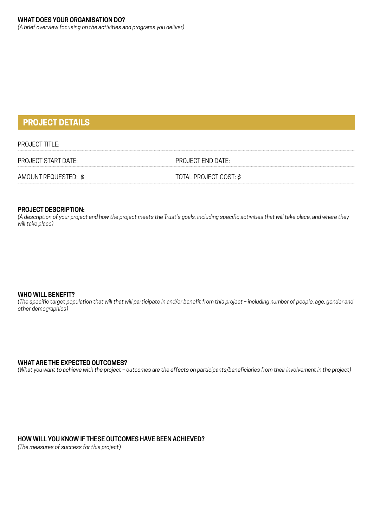*(A brief overview focusing on the activities and programs you deliver)*

## **PROJECT DETAILS**

#### PROJECT TITLE:

PROJECT START DATE: PROJECT END DATE:

AMOUNT REQUESTED:  $$$  TOTAL PROJECT COST:  $$$ 

#### **PROJECT DESCRIPTION:**

*(A description of your project and how the project meets the Trust's goals, including specific activities that will take place, and where they will take place)*

#### **WHO WILL BENEFIT?**

*(The specific target population that will that will participate in and/or benefit from this project – including number of people, age, gender and other demographics)*

#### **WHAT ARE THE EXPECTED OUTCOMES?**

*(What you want to achieve with the project – outcomes are the effects on participants/beneficiaries from their involvement in the project)*

#### **HOW WILL YOU KNOW IF THESE OUTCOMES HAVE BEEN ACHIEVED?**

*(The measures of success for this project*)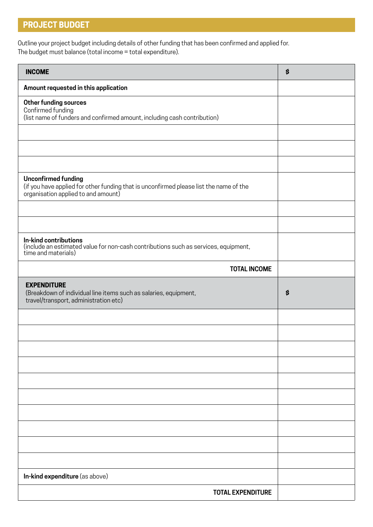## **PROJECT BUDGET**

Outline your project budget including details of other funding that has been confirmed and applied for. The budget must balance (total income = total expenditure).

| <b>INCOME</b>                                                                                                                                               | \$ |
|-------------------------------------------------------------------------------------------------------------------------------------------------------------|----|
| Amount requested in this application                                                                                                                        |    |
| Other funding sources<br>Confirmed funding<br>(list name of funders and confirmed amount, including cash contribution)                                      |    |
|                                                                                                                                                             |    |
|                                                                                                                                                             |    |
|                                                                                                                                                             |    |
| <b>Unconfirmed funding</b><br>(if you have applied for other funding that is unconfirmed please list the name of the<br>organisation applied to and amount) |    |
|                                                                                                                                                             |    |
|                                                                                                                                                             |    |
| In-kind contributions<br>(include an estimated value for non-cash contributions such as services, equipment,<br>time and materials)                         |    |
| <b>TOTAL INCOME</b>                                                                                                                                         |    |
|                                                                                                                                                             |    |
| <b>EXPENDITURE</b><br>(Breakdown of individual line items such as salaries, equipment,<br>travel/transport, administration etc)                             | \$ |
|                                                                                                                                                             |    |
|                                                                                                                                                             |    |
|                                                                                                                                                             |    |
|                                                                                                                                                             |    |
|                                                                                                                                                             |    |
|                                                                                                                                                             |    |
|                                                                                                                                                             |    |
|                                                                                                                                                             |    |
|                                                                                                                                                             |    |
|                                                                                                                                                             |    |
| In-kind expenditure (as above)                                                                                                                              |    |